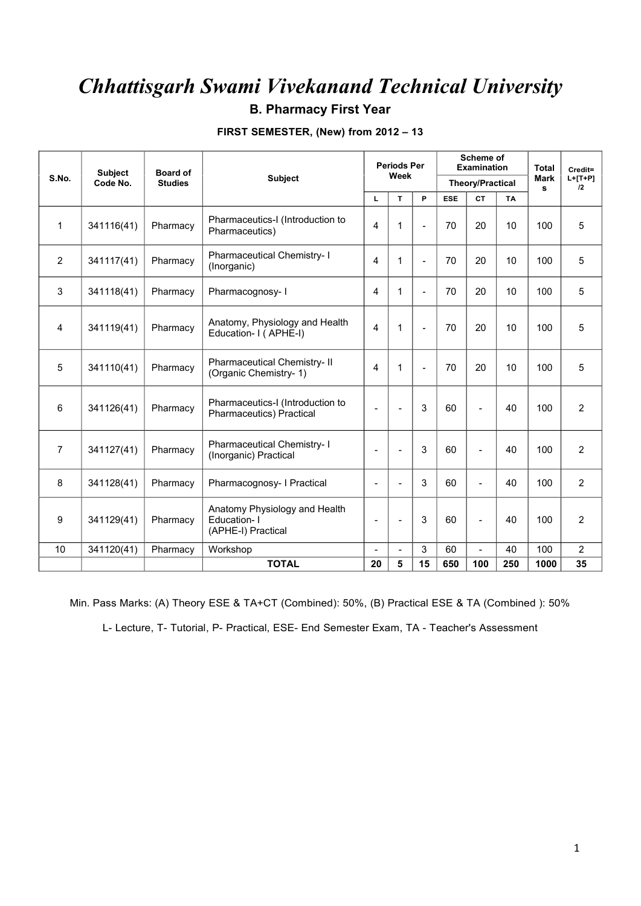### **B. Pharmacy First Year**

|  | FIRST SEMESTER, (New) from 2012 - 13 |  |
|--|--------------------------------------|--|
|--|--------------------------------------|--|

|                 | Subject    | Board of       |                                                                    |                          | <b>Periods Per</b><br>Week |              |            | Scheme of<br><b>Examination</b> |           | <b>Total</b>     | Credit=         |
|-----------------|------------|----------------|--------------------------------------------------------------------|--------------------------|----------------------------|--------------|------------|---------------------------------|-----------|------------------|-----------------|
| S.No.           | Code No.   | <b>Studies</b> | <b>Subject</b>                                                     |                          |                            |              |            | <b>Theory/Practical</b>         |           | <b>Mark</b><br>s | $L+[T+P]$<br>12 |
|                 |            |                |                                                                    | L                        | $\mathbf{T}$               | P            | <b>ESE</b> | <b>CT</b>                       | <b>TA</b> |                  |                 |
| $\mathbf 1$     | 341116(41) | Pharmacy       | Pharmaceutics-I (Introduction to<br>Pharmaceutics)                 | 4                        | 1                          | $\mathbf{r}$ | 70         | 20                              | 10        | 100              | 5               |
| $\overline{2}$  | 341117(41) | Pharmacy       | Pharmaceutical Chemistry- I<br>(Inorganic)                         | 4                        | 1                          | $\sim$       | 70         | 20                              | 10        | 100              | 5               |
| 3               | 341118(41) | Pharmacy       | Pharmacognosy-1                                                    | 4                        | 1                          | $\sim$       | 70         | 20                              | 10        | 100              | 5               |
| 4               | 341119(41) | Pharmacy       | Anatomy, Physiology and Health<br>Education- I (APHE-I)            | $\overline{4}$           | 1                          | $\sim$       | 70         | 20                              | 10        | 100              | 5               |
| 5               | 341110(41) | Pharmacy       | Pharmaceutical Chemistry- II<br>(Organic Chemistry-1)              | 4                        | 1                          | $\sim$       | 70         | 20                              | 10        | 100              | 5               |
| 6               | 341126(41) | Pharmacy       | Pharmaceutics-I (Introduction to<br>Pharmaceutics) Practical       | $\overline{\phantom{a}}$ |                            | 3            | 60         | $\overline{a}$                  | 40        | 100              | $\overline{2}$  |
| $\overline{7}$  | 341127(41) | Pharmacy       | Pharmaceutical Chemistry-1<br>(Inorganic) Practical                |                          |                            | 3            | 60         | $\overline{a}$                  | 40        | 100              | $\overline{2}$  |
| 8               | 341128(41) | Pharmacy       | Pharmacognosy- I Practical                                         | $\overline{a}$           |                            | 3            | 60         | $\sim$                          | 40        | 100              | $\overline{2}$  |
| 9               | 341129(41) | Pharmacy       | Anatomy Physiology and Health<br>Education-1<br>(APHE-I) Practical | $\overline{\phantom{a}}$ | $\overline{\phantom{a}}$   | 3            | 60         | $\blacksquare$                  | 40        | 100              | $\overline{2}$  |
| 10 <sup>1</sup> | 341120(41) | Pharmacy       | Workshop                                                           | $\blacksquare$           | $\overline{\phantom{a}}$   | 3            | 60         | $\sim$                          | 40        | 100              | $\overline{2}$  |
|                 |            |                | <b>TOTAL</b>                                                       | 20                       | 5                          | 15           | 650        | 100                             | 250       | 1000             | 35              |

Min. Pass Marks: (A) Theory ESE & TA+CT (Combined): 50%, (B) Practical ESE & TA (Combined ): 50%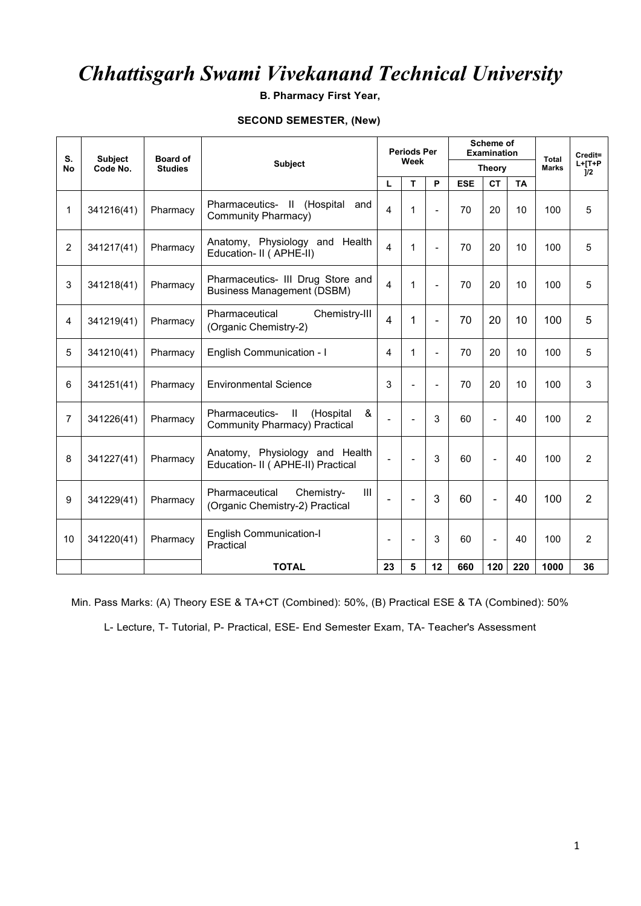**B. Pharmacy First Year,**

#### **SECOND SEMESTER, (New)**

| S.             | <b>Subject</b> | <b>Board of</b> |                                                                                    |                         | <b>Periods Per</b><br>Week |                          |            | <b>Scheme of</b><br><b>Examination</b> | <b>Total</b> | Credit=      |                 |
|----------------|----------------|-----------------|------------------------------------------------------------------------------------|-------------------------|----------------------------|--------------------------|------------|----------------------------------------|--------------|--------------|-----------------|
| <b>No</b>      | Code No.       | <b>Studies</b>  | <b>Subject</b>                                                                     |                         |                            |                          |            | <b>Theory</b>                          |              | <b>Marks</b> | $L+[T+P$<br>1/2 |
|                |                |                 |                                                                                    | L                       | T                          | P                        | <b>ESE</b> | <b>CT</b>                              | <b>TA</b>    |              |                 |
| 1              | 341216(41)     | Pharmacy        | Pharmaceutics- II (Hospital<br>and<br>Community Pharmacy)                          | $\overline{4}$          | $\mathbf{1}$               | $\overline{a}$           | 70         | 20                                     | 10           | 100          | 5               |
| $\overline{2}$ | 341217(41)     | Pharmacy        | Anatomy, Physiology and Health<br>Education- II ( APHE-II)                         | $\overline{\mathbf{4}}$ | 1                          |                          | 70         | 20                                     | 10           | 100          | 5               |
| 3              | 341218(41)     | Pharmacy        | Pharmaceutics- III Drug Store and<br><b>Business Management (DSBM)</b>             | $\overline{4}$          | $\mathbf 1$                | $\overline{a}$           | 70         | 20                                     | 10           | 100          | 5               |
| 4              | 341219(41)     | Pharmacy        | Pharmaceutical<br>Chemistry-III<br>(Organic Chemistry-2)                           | $\overline{4}$          | $\mathbf 1$                | $\blacksquare$           | 70         | 20                                     | 10           | 100          | 5               |
| 5              | 341210(41)     | Pharmacy        | English Communication - I                                                          | 4                       | 1                          | $\equiv$                 | 70         | 20                                     | 10           | 100          | 5               |
| 6              | 341251(41)     | Pharmacy        | <b>Environmental Science</b>                                                       | 3                       | $\overline{\phantom{a}}$   | $\overline{\phantom{a}}$ | 70         | 20                                     | 10           | 100          | 3               |
| 7              | 341226(41)     | Pharmacy        | Pharmaceutics-<br>$\mathbf{II}$<br>(Hospital<br>&<br>Community Pharmacy) Practical |                         | $\overline{a}$             | 3                        | 60         | $\blacksquare$                         | 40           | 100          | 2               |
| 8              | 341227(41)     | Pharmacy        | Anatomy, Physiology and Health<br>Education- II ( APHE-II) Practical               | $\overline{a}$          | $\overline{a}$             | 3                        | 60         | $\blacksquare$                         | 40           | 100          | $\overline{2}$  |
| 9              | 341229(41)     | Pharmacy        | III<br>Pharmaceutical<br>Chemistry-<br>(Organic Chemistry-2) Practical             | $\blacksquare$          | $\blacksquare$             | 3                        | 60         | $\sim$                                 | 40           | 100          | $\overline{2}$  |
| 10             | 341220(41)     | Pharmacy        | <b>English Communication-I</b><br>Practical                                        | $\blacksquare$          | $\blacksquare$             | 3                        | 60         | $\overline{a}$                         | 40           | 100          | 2               |
|                |                |                 | <b>TOTAL</b>                                                                       | 23                      | 5                          | 12                       | 660        | 120                                    | 220          | 1000         | 36              |

Min. Pass Marks: (A) Theory ESE & TA+CT (Combined): 50%, (B) Practical ESE & TA (Combined): 50%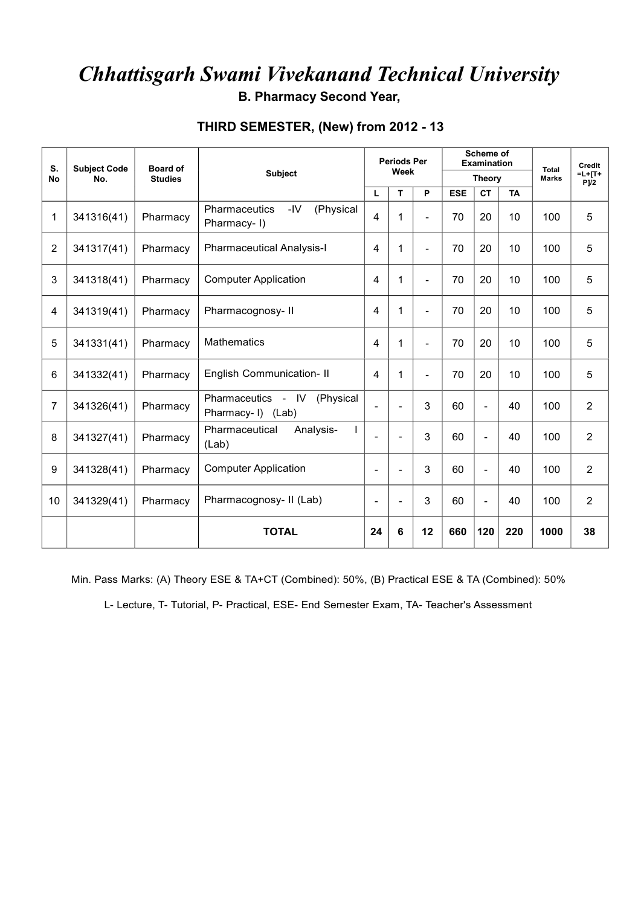**B. Pharmacy Second Year,**

#### **THIRD SEMESTER, (New) from 2012 - 13**

| S.<br><b>No</b> | <b>Subject Code</b><br>No. | <b>Board of</b><br><b>Studies</b> | Subject                                           |                          | <b>Periods Per</b><br>Week |                |            | Scheme of<br><b>Examination</b><br><b>Theory</b> |     |      | Credit<br>$=L+TT+$<br>$P$ ]/2 |  |
|-----------------|----------------------------|-----------------------------------|---------------------------------------------------|--------------------------|----------------------------|----------------|------------|--------------------------------------------------|-----|------|-------------------------------|--|
|                 |                            |                                   |                                                   | L                        | T<br>P                     |                | <b>ESE</b> | <b>CT</b><br><b>TA</b>                           |     |      |                               |  |
| 1               | 341316(41)                 | Pharmacy                          | Pharmaceutics<br>-IV<br>(Physical<br>Pharmacy-1)  | 4                        | 1                          |                | 70         | 20                                               | 10  | 100  | 5                             |  |
| $\overline{2}$  | 341317(41)                 | Pharmacy                          | <b>Pharmaceutical Analysis-I</b>                  | 4                        | 1                          |                | 70         | 20                                               | 10  | 100  | 5                             |  |
| 3               | 341318(41)                 | Pharmacy                          | <b>Computer Application</b>                       | 4                        | 1                          | $\blacksquare$ | 70         | 20                                               | 10  | 100  | 5                             |  |
| 4               | 341319(41)                 | Pharmacy                          | Pharmacognosy-II                                  | 4                        | 1                          | $\overline{a}$ | 70         | 20                                               | 10  | 100  | 5                             |  |
| 5               | 341331(41)                 | Pharmacy                          | <b>Mathematics</b>                                | 4                        | 1                          | $\blacksquare$ | 70         | 20                                               | 10  | 100  | 5                             |  |
| 6               | 341332(41)                 | Pharmacy                          | <b>English Communication- II</b>                  | 4                        |                            | $\sim$         | 70         | 20                                               | 10  | 100  | 5                             |  |
| $\overline{7}$  | 341326(41)                 | Pharmacy                          | Pharmaceutics - IV (Physical<br>Pharmacy-I) (Lab) | $\overline{\phantom{a}}$ | $\overline{\phantom{a}}$   | 3              | 60         | $\blacksquare$                                   | 40  | 100  | $\overline{2}$                |  |
| 8               | 341327(41)                 | Pharmacy                          | Pharmaceutical<br>Analysis-<br>(Lab)              |                          |                            | 3              | 60         | $\overline{a}$                                   | 40  | 100  | $\overline{2}$                |  |
| 9               | 341328(41)                 | Pharmacy                          | <b>Computer Application</b>                       | $\blacksquare$           |                            | 3              | 60         | $\overline{a}$                                   | 40  | 100  | $\overline{2}$                |  |
| 10              | 341329(41)                 | Pharmacy                          | Pharmacognosy- II (Lab)                           | $\overline{\phantom{a}}$ |                            | 3              | 60         | $\overline{\phantom{a}}$                         | 40  | 100  | $\overline{2}$                |  |
|                 |                            |                                   | <b>TOTAL</b>                                      | 24                       | 6                          | 12             | 660        | 120                                              | 220 | 1000 | 38                            |  |

Min. Pass Marks: (A) Theory ESE & TA+CT (Combined): 50%, (B) Practical ESE & TA (Combined): 50%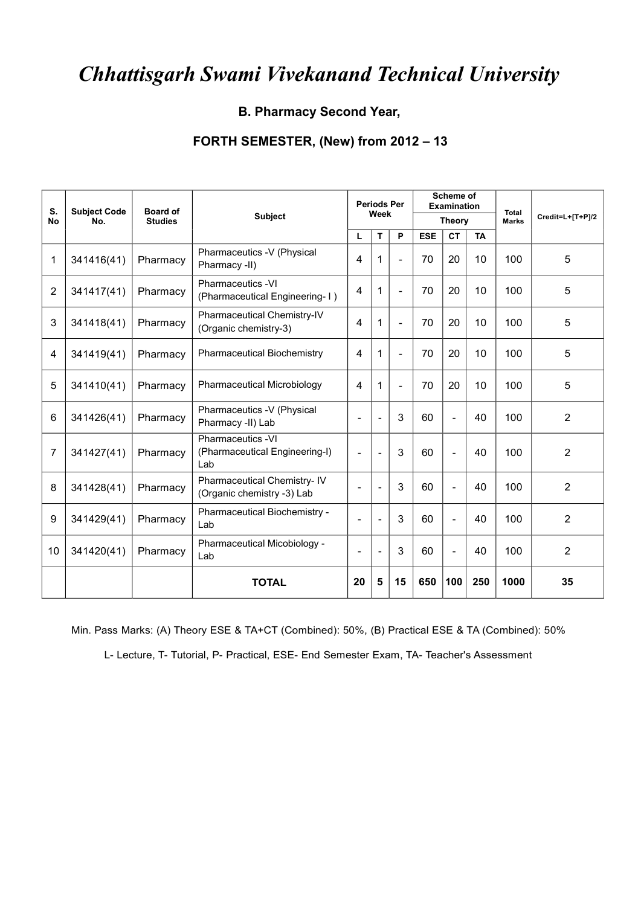#### **B. Pharmacy Second Year,**

#### **FORTH SEMESTER, (New) from 2012 – 13**

| S.<br><b>No</b> | <b>Subject Code</b><br>No. | <b>Board of</b><br><b>Studies</b> | <b>Subject</b>                                             |                          | <b>Periods Per</b><br>Week |                          |            | Scheme of<br><b>Examination</b><br><b>Theory</b> |           | <b>Total</b><br><b>Marks</b> | Credit=L+[T+P]/2 |
|-----------------|----------------------------|-----------------------------------|------------------------------------------------------------|--------------------------|----------------------------|--------------------------|------------|--------------------------------------------------|-----------|------------------------------|------------------|
|                 |                            |                                   |                                                            | г                        | т                          | P                        | <b>ESE</b> | <b>CT</b>                                        | <b>TA</b> |                              |                  |
| 1               | 341416(41)                 | Pharmacy                          | Pharmaceutics -V (Physical<br>Pharmacy -II)                | 4                        | 1                          | $\overline{\phantom{a}}$ | 70         | 20                                               | 10        | 100                          | 5                |
| $\overline{2}$  | 341417(41)                 | Pharmacy                          | Pharmaceutics -VI<br>(Pharmaceutical Engineering-1)        | 4                        | 1                          | $\blacksquare$           | 70         | 20                                               | 10        | 100                          | 5                |
| 3               | 341418(41)                 | Pharmacy                          | Pharmaceutical Chemistry-IV<br>(Organic chemistry-3)       | 4                        | 1                          | $\sim$                   | 70         | 20                                               | 10        | 100                          | 5                |
| 4               | 341419(41)                 | Pharmacy                          | <b>Pharmaceutical Biochemistry</b>                         | 4                        | 1                          | $\sim$                   | 70         | 20                                               | 10        | 100                          | 5                |
| 5               | 341410(41)                 | Pharmacy                          | <b>Pharmaceutical Microbiology</b>                         | 4                        | 1                          | $\sim$                   | 70         | 20                                               | 10        | 100                          | 5                |
| 6               | 341426(41)                 | Pharmacy                          | Pharmaceutics -V (Physical<br>Pharmacy -II) Lab            | L,                       |                            | 3                        | 60         | $\overline{\phantom{a}}$                         | 40        | 100                          | $\overline{2}$   |
| 7               | 341427(41)                 | Pharmacy                          | Pharmaceutics -VI<br>(Pharmaceutical Engineering-I)<br>Lab | $\overline{\phantom{a}}$ | ٠                          | 3                        | 60         | $\overline{\phantom{a}}$                         | 40        | 100                          | 2                |
| 8               | 341428(41)                 | Pharmacy                          | Pharmaceutical Chemistry-IV<br>(Organic chemistry -3) Lab  |                          |                            | 3                        | 60         | $\overline{\phantom{a}}$                         | 40        | 100                          | 2                |
| 9               | 341429(41)                 | Pharmacy                          | Pharmaceutical Biochemistry -<br>Lab                       | ÷                        | $\overline{\phantom{0}}$   | 3                        | 60         | $\overline{\phantom{a}}$                         | 40        | 100                          | $\overline{2}$   |
| 10              | 341420(41)                 | Pharmacy                          | Pharmaceutical Micobiology -<br>Lab                        | $\overline{\phantom{a}}$ | $\overline{\phantom{0}}$   | 3                        | 60         | $\overline{\phantom{a}}$                         | 40        | 100                          | 2                |
|                 |                            |                                   | <b>TOTAL</b>                                               | 20                       | 5                          | 15                       | 650        | 100                                              | 250       | 1000                         | 35               |

Min. Pass Marks: (A) Theory ESE & TA+CT (Combined): 50%, (B) Practical ESE & TA (Combined): 50%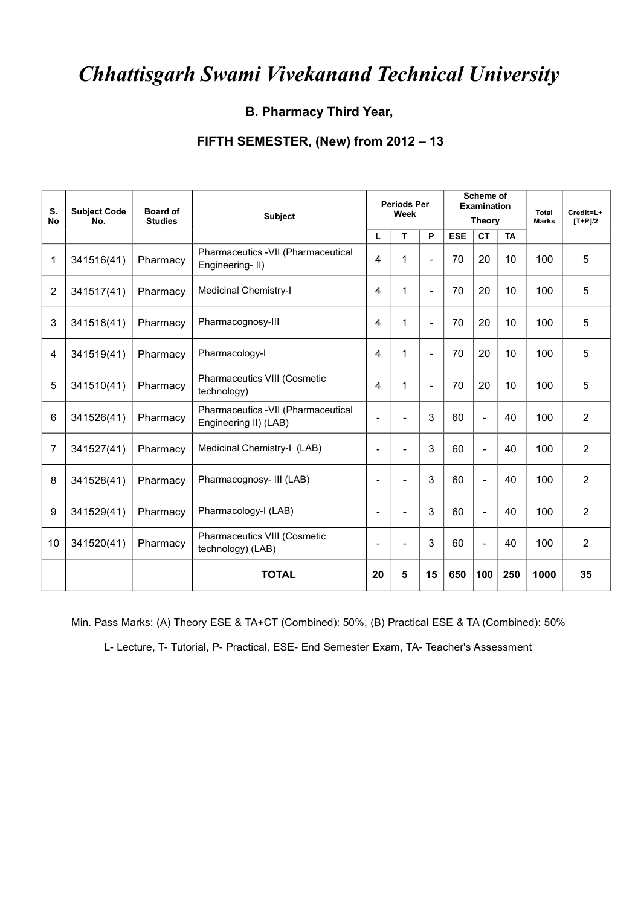**B. Pharmacy Third Year,**

#### **FIFTH SEMESTER, (New) from 2012 – 13**

| S.<br><b>No</b> | <b>Subject Code</b><br>No. | <b>Board of</b><br><b>Studies</b> | Subject                                                     |                          | <b>Periods Per</b><br>Week |                          |                                      | Scheme of<br><b>Examination</b><br><b>Theory</b> |     | <b>Total</b><br><b>Marks</b> | Credit=L+<br>$[T+P]/2$ |
|-----------------|----------------------------|-----------------------------------|-------------------------------------------------------------|--------------------------|----------------------------|--------------------------|--------------------------------------|--------------------------------------------------|-----|------------------------------|------------------------|
|                 |                            |                                   |                                                             |                          | P<br>T<br>L.               |                          | <b>ESE</b><br><b>TA</b><br><b>CT</b> |                                                  |     |                              |                        |
| 1               | 341516(41)                 | Pharmacy                          | Pharmaceutics -VII (Pharmaceutical<br>Engineering-II)       | 4                        | 1                          | $\blacksquare$           | 70                                   | 20                                               | 10  | 100                          | 5                      |
| $\overline{2}$  | 341517(41)                 | Pharmacy                          | <b>Medicinal Chemistry-I</b>                                | 4                        | 1                          | $\overline{\phantom{a}}$ | 70                                   | 20                                               | 10  | 100                          | 5                      |
| 3               | 341518(41)                 | Pharmacy                          | Pharmacognosy-III                                           | 4                        | 1                          | $\blacksquare$           | 70                                   | 20                                               | 10  | 100                          | 5                      |
| 4               | 341519(41)                 | Pharmacy                          | Pharmacology-I                                              | 4                        | 1                          | $\overline{\phantom{a}}$ | 70                                   | 20                                               | 10  | 100                          | 5                      |
| 5               | 341510(41)                 | Pharmacy                          | Pharmaceutics VIII (Cosmetic<br>technology)                 | 4                        | 1                          | $\overline{\phantom{a}}$ | 70                                   | 20                                               | 10  | 100                          | 5                      |
| 6               | 341526(41)                 | Pharmacy                          | Pharmaceutics -VII (Pharmaceutical<br>Engineering II) (LAB) | $\overline{\phantom{a}}$ |                            | 3                        | 60                                   | $\blacksquare$                                   | 40  | 100                          | $\overline{2}$         |
| $\overline{7}$  | 341527(41)                 | Pharmacy                          | Medicinal Chemistry-I (LAB)                                 | $\overline{\phantom{a}}$ |                            | 3                        | 60                                   | $\blacksquare$                                   | 40  | 100                          | $\overline{2}$         |
| 8               | 341528(41)                 | Pharmacy                          | Pharmacognosy- III (LAB)                                    | $\overline{\phantom{a}}$ | $\overline{\phantom{0}}$   | 3                        | 60                                   | $\blacksquare$                                   | 40  | 100                          | $\overline{2}$         |
| 9               | 341529(41)                 | Pharmacy                          | Pharmacology-I (LAB)                                        | $\overline{\phantom{a}}$ | $\blacksquare$             | 3                        | 60                                   | $\blacksquare$                                   | 40  | 100                          | $\overline{2}$         |
| 10              | 341520(41)                 | Pharmacy                          | Pharmaceutics VIII (Cosmetic<br>technology) (LAB)           | $\blacksquare$           |                            | 3                        | 60                                   | $\overline{\phantom{a}}$                         | 40  | 100                          | $\overline{2}$         |
|                 |                            |                                   | <b>TOTAL</b>                                                | 20                       | 5                          | 15                       | 650                                  | 100                                              | 250 | 1000                         | 35                     |

Min. Pass Marks: (A) Theory ESE & TA+CT (Combined): 50%, (B) Practical ESE & TA (Combined): 50%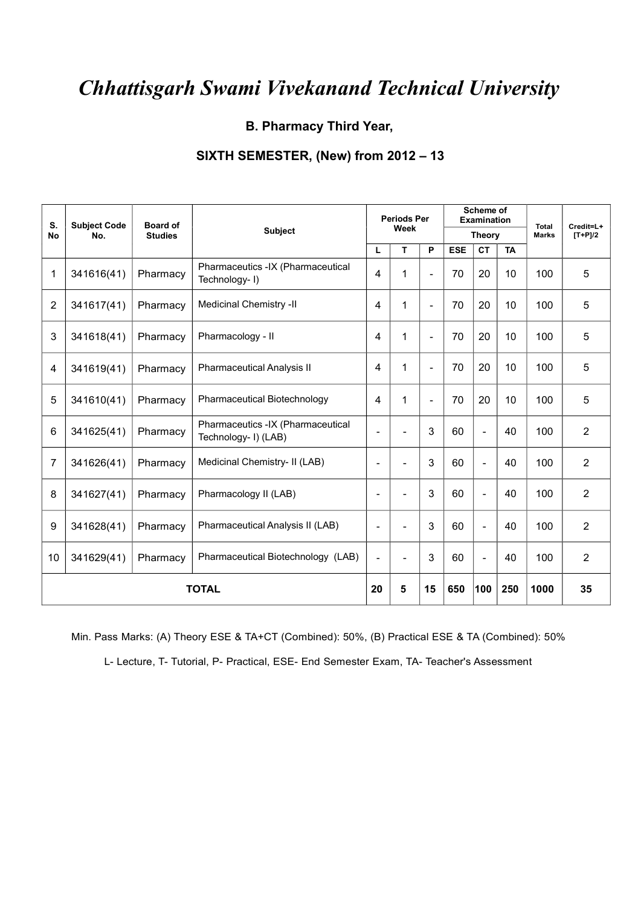**B. Pharmacy Third Year,**

#### **SIXTH SEMESTER, (New) from 2012 – 13**

| S.<br><b>No</b> | <b>Subject Code</b><br>No. | <b>Board of</b><br><b>Studies</b> | Subject                                                   |                          | <b>Periods Per</b><br>Week |                          |            | Scheme of<br><b>Examination</b><br><b>Theory</b> |           | <b>Total</b><br><b>Marks</b> | Credit=L+<br>$[T+P]/2$ |
|-----------------|----------------------------|-----------------------------------|-----------------------------------------------------------|--------------------------|----------------------------|--------------------------|------------|--------------------------------------------------|-----------|------------------------------|------------------------|
|                 |                            |                                   |                                                           | L                        | T                          | P                        | <b>ESE</b> | <b>CT</b>                                        | <b>TA</b> |                              |                        |
| 1               | 341616(41)                 | Pharmacy                          | Pharmaceutics -IX (Pharmaceutical<br>Technology-1)        | 4                        | 1                          | $\blacksquare$           | 70         | 20                                               | 10        | 100                          | 5                      |
| $\overline{2}$  | 341617(41)                 | Pharmacy                          | Medicinal Chemistry -II                                   | 4                        | 1                          | $\overline{\phantom{a}}$ | 70         | 20                                               | 10        | 100                          | 5                      |
| 3               | 341618(41)                 | Pharmacy                          | Pharmacology - II                                         | $\overline{4}$           | 1                          | $\overline{\phantom{a}}$ | 70         | 20                                               | 10        | 100                          | 5                      |
| 4               | 341619(41)                 | Pharmacy                          | <b>Pharmaceutical Analysis II</b>                         | 4                        | 1                          | $\blacksquare$           | 70         | 20                                               | 10        | 100                          | 5                      |
| 5               | 341610(41)                 | Pharmacy                          | <b>Pharmaceutical Biotechnology</b>                       | 4                        | 1                          | $\blacksquare$           | 70         | 20                                               | 10        | 100                          | 5                      |
| 6               | 341625(41)                 | Pharmacy                          | Pharmaceutics -IX (Pharmaceutical<br>Technology- I) (LAB) | $\overline{\phantom{a}}$ |                            | 3                        | 60         | $\overline{\phantom{a}}$                         | 40        | 100                          | $\overline{2}$         |
| $\overline{7}$  | 341626(41)                 | Pharmacy                          | Medicinal Chemistry- II (LAB)                             | $\blacksquare$           |                            | 3                        | 60         | $\overline{\phantom{a}}$                         | 40        | 100                          | $\overline{2}$         |
| 8               | 341627(41)                 | Pharmacy                          | Pharmacology II (LAB)                                     | $\overline{\phantom{a}}$ |                            | 3                        | 60         | $\blacksquare$                                   | 40        | 100                          | $\overline{2}$         |
| 9               | 341628(41)                 | Pharmacy                          | Pharmaceutical Analysis II (LAB)                          | $\blacksquare$           |                            | 3                        | 60         | $\blacksquare$                                   | 40        | 100                          | $\overline{2}$         |
| 10              | 341629(41)                 | Pharmacy                          | Pharmaceutical Biotechnology (LAB)                        | $\overline{\phantom{a}}$ |                            | 3                        | 60         | $\blacksquare$                                   | 40        | 100                          | $\overline{2}$         |
|                 |                            |                                   | <b>TOTAL</b>                                              | 20                       | 5                          | 15                       | 650        | 100                                              | 250       | 1000                         | 35                     |

Min. Pass Marks: (A) Theory ESE & TA+CT (Combined): 50%, (B) Practical ESE & TA (Combined): 50%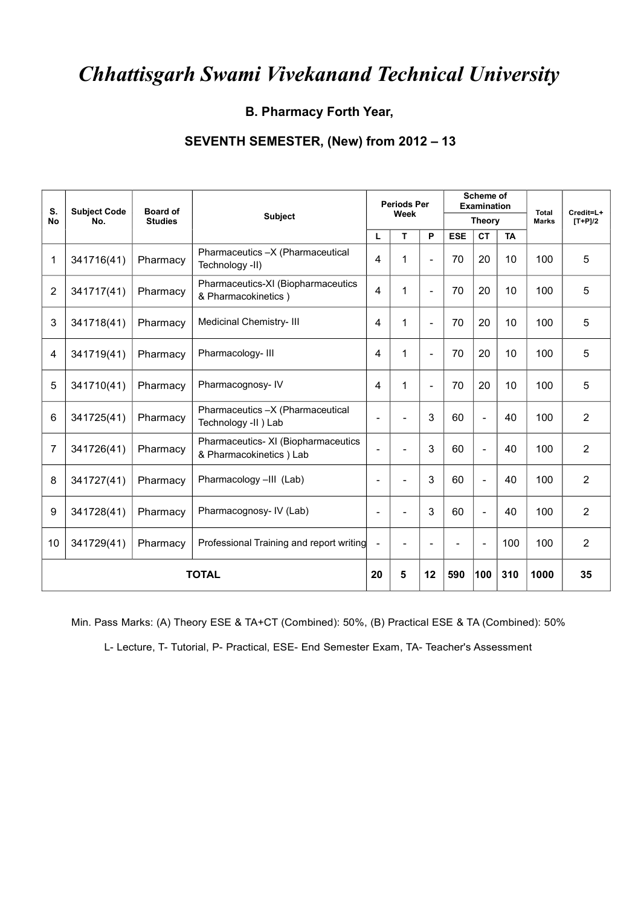#### **B. Pharmacy Forth Year,**

#### **SEVENTH SEMESTER, (New) from 2012 – 13**

| S.<br>No       | <b>Subject Code</b><br>No. | <b>Board of</b><br><b>Studies</b> | Subject                                                         |                          | <b>Periods Per</b><br>Week |                          |            | Scheme of<br><b>Examination</b><br><b>Theory</b> |     | <b>Total</b><br><b>Marks</b> | Credit=L+<br>$[T+P]/2$ |
|----------------|----------------------------|-----------------------------------|-----------------------------------------------------------------|--------------------------|----------------------------|--------------------------|------------|--------------------------------------------------|-----|------------------------------|------------------------|
|                |                            |                                   |                                                                 | L                        | P<br>т                     |                          | <b>ESE</b> | <b>TA</b><br><b>CT</b>                           |     |                              |                        |
| 1              | 341716(41)                 | Pharmacy                          | Pharmaceutics -X (Pharmaceutical<br>Technology -II)             | $\overline{4}$           | 1                          | $\blacksquare$           | 70         | 20                                               | 10  | 100                          | 5                      |
| $\overline{2}$ | 341717(41)                 | Pharmacy                          | Pharmaceutics-XI (Biopharmaceutics<br>& Pharmacokinetics)       | $\overline{4}$           | 1                          | $\blacksquare$           | 70         | 20                                               | 10  | 100                          | 5                      |
| 3              | 341718(41)                 | Pharmacy                          | Medicinal Chemistry- III                                        | 4                        | 1                          | $\blacksquare$           | 70         | 20                                               | 10  | 100                          | 5                      |
| 4              | 341719(41)                 | Pharmacy                          | Pharmacology-III                                                | $\overline{4}$           | 1                          | $\overline{\phantom{a}}$ | 70         | 20                                               | 10  | 100                          | 5                      |
| 5              | 341710(41)                 | Pharmacy                          | Pharmacognosy-IV                                                | 4                        | 1                          | $\overline{\phantom{a}}$ | 70         | 20                                               | 10  | 100                          | 5                      |
| 6              | 341725(41)                 | Pharmacy                          | Pharmaceutics -X (Pharmaceutical<br>Technology -II ) Lab        | $\blacksquare$           |                            | 3                        | 60         | $\blacksquare$                                   | 40  | 100                          | 2                      |
| $\overline{7}$ | 341726(41)                 | Pharmacy                          | Pharmaceutics- XI (Biopharmaceutics<br>& Pharmacokinetics ) Lab | $\blacksquare$           |                            | 3                        | 60         | $\blacksquare$                                   | 40  | 100                          | $\overline{2}$         |
| 8              | 341727(41)                 | Pharmacy                          | Pharmacology -III (Lab)                                         | $\overline{\phantom{a}}$ | ٠                          | 3                        | 60         | $\blacksquare$                                   | 40  | 100                          | 2                      |
| 9              | 341728(41)                 | Pharmacy                          | Pharmacognosy- IV (Lab)                                         | $\overline{\phantom{a}}$ | $\overline{\phantom{a}}$   | 3                        | 60         | $\blacksquare$                                   | 40  | 100                          | $\overline{2}$         |
| 10             | 341729(41)                 | Pharmacy                          | Professional Training and report writing                        | $\blacksquare$           |                            | $\overline{\phantom{0}}$ |            | $\overline{\phantom{a}}$                         | 100 | 100                          | $\overline{2}$         |
|                |                            |                                   | <b>TOTAL</b>                                                    | 20                       | 5                          | 12                       | 590        | 100                                              | 310 | 1000                         | 35                     |

Min. Pass Marks: (A) Theory ESE & TA+CT (Combined): 50%, (B) Practical ESE & TA (Combined): 50%